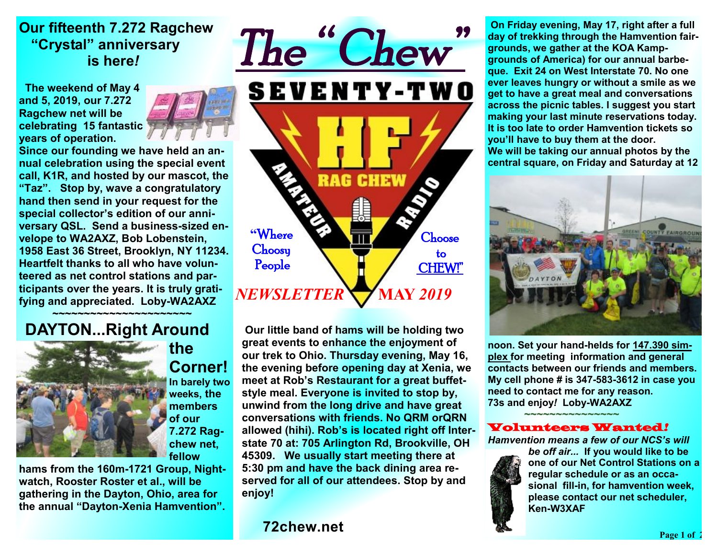## **Our fifteenth 7.272 Ragchew "Crystal" anniversary is here***!*

 **The weekend of May 4 and 5, 2019, our 7.272 Ragchew net will be celebrating 15 fantastic years of operation.** 



**Since our founding we have held an annual celebration using the special event call, K1R, and hosted by our mascot, the "Taz". Stop by, wave a congratulatory hand then send in your request for the special collector's edition of our anniversary QSL. Send a business-sized envelope to WA2AXZ, Bob Lobenstein, 1958 East 36 Street, Brooklyn, NY 11234. Heartfelt thanks to all who have volunteered as net control stations and participants over the years. It is truly gratifying and appreciated. Loby-WA2AXZ** 

 **~~~~~~~~~~~~~~~~~~~~~~ DAYTON...Right Around** 



**the Corner! In barely two weeks, the** 

**members of our 7.272 Ragchew net, fellow** 

**hams from the 160m-1721 Group, Nightwatch, Rooster Roster et al., will be gathering in the Dayton, Ohio, area for the annual "Dayton-Xenia Hamvention".** 



 **Our little band of hams will be holding two great events to enhance the enjoyment of our trek to Ohio. Thursday evening, May 16, the evening before opening day at Xenia, we meet at Rob's Restaurant for a great buffetstyle meal. Everyone is invited to stop by, unwind from the long drive and have great conversations with friends. No QRM orQRN allowed (hihi). Rob's is located right off Interstate 70 at: 705 Arlington Rd, Brookville, OH 45309. We usually start meeting there at 5:30 pm and have the back dining area reserved for all of our attendees. Stop by and enjoy!** 

**72chew.net**

 **On Friday evening, May 17, right after a full day of trekking through the Hamvention fairgrounds, we gather at the KOA Kampgrounds of America) for our annual barbeque. Exit 24 on West Interstate 70. No one ever leaves hungry or without a smile as we get to have a great meal and conversations across the picnic tables. I suggest you start making your last minute reservations today. It is too late to order Hamvention tickets so you'll have to buy them at the door. We will be taking our annual photos by the central square, on Friday and Saturday at 12** 



**noon. Set your hand-helds for 147.390 simplex for meeting information and general contacts between our friends and members. My cell phone # is 347-583-3612 in case you need to contact me for any reason. 73s and enjoy***!* **Loby-WA2AXZ** 

### Volunteers Wanted*!*

★<del>★</del>★★★★★★★★★★★★★★★

*Hamvention means a few of our NCS's will* 



*be off air...* **If you would like to be one of our Net Control Stations on a regular schedule or as an occasional fill-in, for hamvention week, please contact our net scheduler, Ken-W3XAF**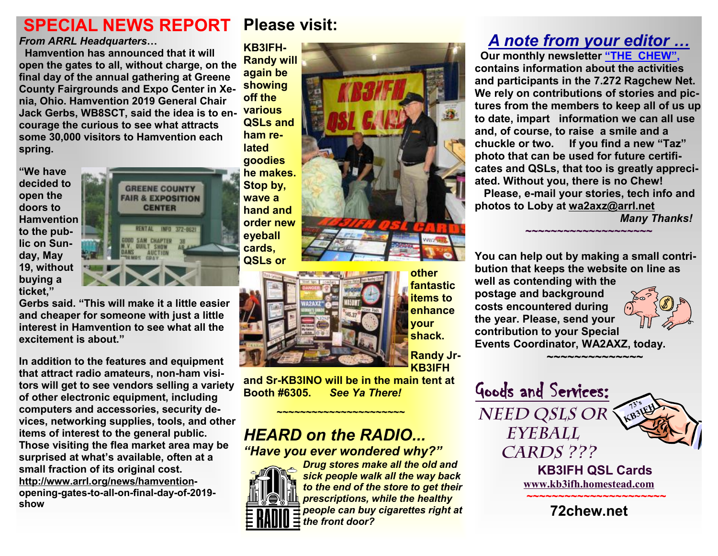# **Please visit: SPECIAL NEWS REPORT**

### *From ARRL Headquarters***…**

 **Hamvention has announced that it will open the gates to all, without charge, on the final day of the annual gathering at Greene County Fairgrounds and Expo Center in Xenia, Ohio. Hamvention 2019 General Chair Jack Gerbs, WB8SCT, said the idea is to encourage the curious to see what attracts some 30,000 visitors to Hamvention each spring.** 

**"We have decided to open the doors to Hamvention to the public on Sunday, May 19, without buying a ticket,"** 

**GREENE COUNTY FAIR & EXPOSITION CENTER RENTAL INFO 372-8621 QUILT SHOW AUCTION** 

**Gerbs said. "This will make it a little easier and cheaper for someone with just a little interest in Hamvention to see what all the excitement is about."** 

**In addition to the features and equipment that attract radio amateurs, non-ham visitors will get to see vendors selling a variety of other electronic equipment, including computers and accessories, security devices, networking supplies, tools, and other items of interest to the general public. Those visiting the flea market area may be surprised at what's available, often at a small fraction of its original cost. <http://www.arrl.org/news/hamvention>opening-gates-to-all-on-final-day-of-2019 show**

**KB3IFH-Randy will again be showing off the various QSLs and ham related goodies he makes. Stop by, wave a hand and order new eyeball cards, QSLs or** 



**and Sr-KB3INO will be in the main tent at Booth #6305.** *See Ya There!* 

## *HEARD on the RADIO... "Have you ever wondered why?"*

**~~~~~~~~~~~~~~~~~~~~~~**



*Drug stores make all the old and sick people walk all the way back to the end of the store to get their prescriptions, while the healthy people can buy cigarettes right at the front door?* 

**other fantastic items to enhance your shack.** 

**Randy Jr-KB3IFH** 

# *A note from your editor …*

 **Our monthly newsletter "THE CHEW", contains information about the activities and participants in the 7.272 Ragchew Net. We rely on contributions of stories and pictures from the members to keep all of us up to date, impart information we can all use and, of course, to raise a smile and a chuckle or two. If you find a new "Taz" photo that can be used for future certificates and QSLs, that too is greatly appreciated. Without you, there is no Chew! Please, e-mail your stories, tech info and photos to Loby at [wa2axz@arrl.net](mailto:wa2axz@arrl.net)** 

**~~~~~~~~~~~~~~~~~~~~**

*Many Thanks!* 

**You can help out by making a small contribution that keeps the website on line as well as contending with the postage and background costs encountered during the year. Please, send your contribution to your Special Events Coordinator, WA2AXZ, today.**